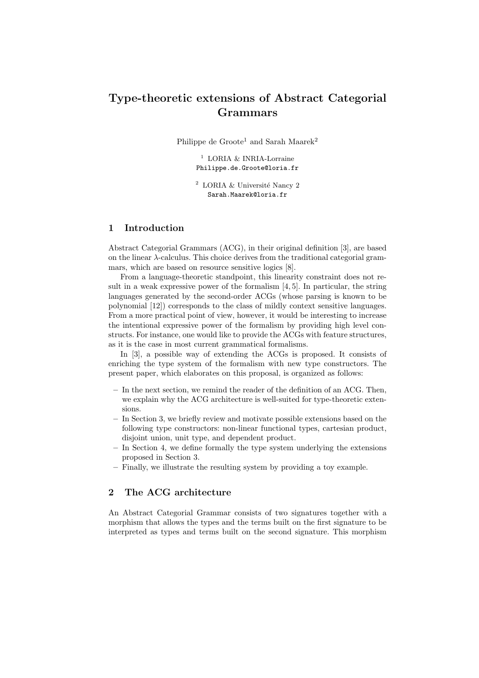# Type-theoretic extensions of Abstract Categorial Grammars

Philippe de Groote<sup>1</sup> and Sarah Maarek<sup>2</sup>

 $^1$  LORIA  $\&$  INRIA-Lorraine Philippe.de.Groote@loria.fr

 $2$  LORIA & Université Nancy 2 Sarah.Maarek@loria.fr

### 1 Introduction

Abstract Categorial Grammars (ACG), in their original definition [3], are based on the linear  $\lambda$ -calculus. This choice derives from the traditional categorial grammars, which are based on resource sensitive logics [8].

From a language-theoretic standpoint, this linearity constraint does not result in a weak expressive power of the formalism [4, 5]. In particular, the string languages generated by the second-order ACGs (whose parsing is known to be polynomial [12]) corresponds to the class of mildly context sensitive languages. From a more practical point of view, however, it would be interesting to increase the intentional expressive power of the formalism by providing high level constructs. For instance, one would like to provide the ACGs with feature structures, as it is the case in most current grammatical formalisms.

In [3], a possible way of extending the ACGs is proposed. It consists of enriching the type system of the formalism with new type constructors. The present paper, which elaborates on this proposal, is organized as follows:

- In the next section, we remind the reader of the definition of an ACG. Then, we explain why the ACG architecture is well-suited for type-theoretic extensions.
- In Section 3, we briefly review and motivate possible extensions based on the following type constructors: non-linear functional types, cartesian product, disjoint union, unit type, and dependent product.
- In Section 4, we define formally the type system underlying the extensions proposed in Section 3.
- Finally, we illustrate the resulting system by providing a toy example.

### 2 The ACG architecture

An Abstract Categorial Grammar consists of two signatures together with a morphism that allows the types and the terms built on the first signature to be interpreted as types and terms built on the second signature. This morphism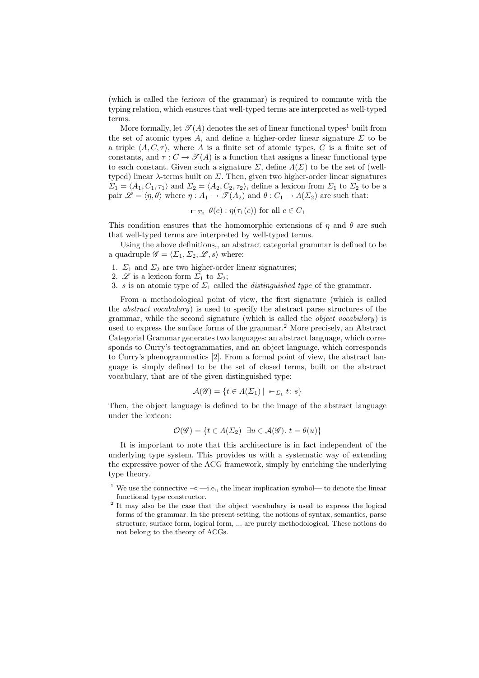(which is called the lexicon of the grammar) is required to commute with the typing relation, which ensures that well-typed terms are interpreted as well-typed terms.

More formally, let  $\mathcal{T}(A)$  denotes the set of linear functional types<sup>1</sup> built from the set of atomic types A, and define a higher-order linear signature  $\Sigma$  to be a triple  $\langle A, C, \tau \rangle$ , where A is a finite set of atomic types, C is a finite set of constants, and  $\tau: C \to \mathcal{I}(A)$  is a function that assigns a linear functional type to each constant. Given such a signature  $\Sigma$ , define  $\Lambda(\Sigma)$  to be the set of (welltyped) linear  $\lambda$ -terms built on  $\Sigma$ . Then, given two higher-order linear signatures  $\Sigma_1 = \langle A_1, C_1, \tau_1 \rangle$  and  $\Sigma_2 = \langle A_2, C_2, \tau_2 \rangle$ , define a lexicon from  $\Sigma_1$  to  $\Sigma_2$  to be a pair  $\mathscr{L} = \langle \eta, \theta \rangle$  where  $\eta : A_1 \to \mathscr{T}(A_2)$  and  $\theta : C_1 \to A(\Sigma_2)$  are such that:

$$
\vdash_{\Sigma_2} \theta(c) : \eta(\tau_1(c))
$$
 for all  $c \in C_1$ 

This condition ensures that the homomorphic extensions of  $\eta$  and  $\theta$  are such that well-typed terms are interpreted by well-typed terms.

Using the above definitions,, an abstract categorial grammar is defined to be a quadruple  $\mathscr{G} = \langle \Sigma_1, \Sigma_2, \mathscr{L}, s \rangle$  where:

- 1.  $\Sigma_1$  and  $\Sigma_2$  are two higher-order linear signatures;
- 2.  $\mathscr{L}$  is a lexicon form  $\Sigma_1$  to  $\Sigma_2$ ;
- 3. s is an atomic type of  $\Sigma_1$  called the *distinguished type* of the grammar.

From a methodological point of view, the first signature (which is called the abstract vocabulary) is used to specify the abstract parse structures of the grammar, while the second signature (which is called the object vocabulary) is used to express the surface forms of the grammar.<sup>2</sup> More precisely, an Abstract Categorial Grammar generates two languages: an abstract language, which corresponds to Curry's tectogrammatics, and an object language, which corresponds to Curry's phenogrammatics [2]. From a formal point of view, the abstract language is simply defined to be the set of closed terms, built on the abstract vocabulary, that are of the given distinguished type:

$$
\mathcal{A}(\mathcal{G}) = \{ t \in \Lambda(\Sigma_1) \mid -\Sigma_1 t \colon s \}
$$

Then, the object language is defined to be the image of the abstract language under the lexicon:

$$
\mathcal{O}(\mathscr{G}) = \{ t \in \Lambda(\Sigma_2) \, | \, \exists u \in \mathcal{A}(\mathscr{G}). \ t = \theta(u) \}
$$

It is important to note that this architecture is in fact independent of the underlying type system. This provides us with a systematic way of extending the expressive power of the ACG framework, simply by enriching the underlying type theory.

<sup>1</sup> We use the connective −◦ —i.e., the linear implication symbol— to denote the linear functional type constructor.

<sup>&</sup>lt;sup>2</sup> It may also be the case that the object vocabulary is used to express the logical forms of the grammar. In the present setting, the notions of syntax, semantics, parse structure, surface form, logical form, ... are purely methodological. These notions do not belong to the theory of ACGs.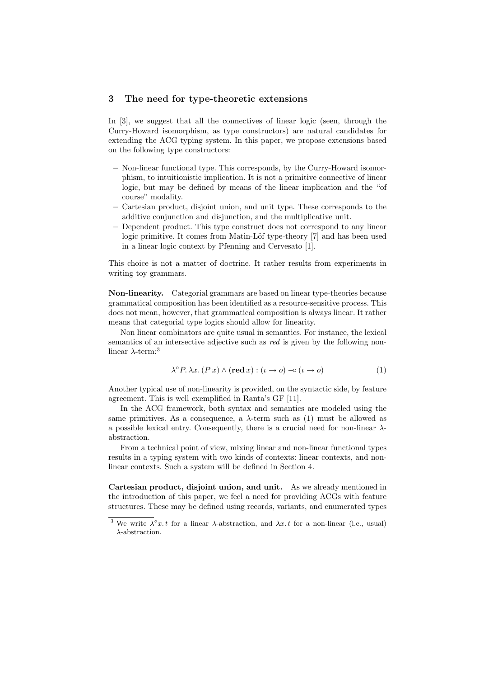#### 3 The need for type-theoretic extensions

In [3], we suggest that all the connectives of linear logic (seen, through the Curry-Howard isomorphism, as type constructors) are natural candidates for extending the ACG typing system. In this paper, we propose extensions based on the following type constructors:

- Non-linear functional type. This corresponds, by the Curry-Howard isomorphism, to intuitionistic implication. It is not a primitive connective of linear logic, but may be defined by means of the linear implication and the "of course" modality.
- Cartesian product, disjoint union, and unit type. These corresponds to the additive conjunction and disjunction, and the multiplicative unit.
- Dependent product. This type construct does not correspond to any linear logic primitive. It comes from Matin-Löf type-theory [7] and has been used in a linear logic context by Pfenning and Cervesato [1].

This choice is not a matter of doctrine. It rather results from experiments in writing toy grammars.

Non-linearity. Categorial grammars are based on linear type-theories because grammatical composition has been identified as a resource-sensitive process. This does not mean, however, that grammatical composition is always linear. It rather means that categorial type logics should allow for linearity.

Non linear combinators are quite usual in semantics. For instance, the lexical semantics of an intersective adjective such as red is given by the following nonlinear  $\lambda$ -term:<sup>3</sup>

$$
\lambda^{\circ} P. \lambda x. (P x) \wedge (\text{red } x) : (\iota \to o) \to (\iota \to o)
$$
 (1)

Another typical use of non-linearity is provided, on the syntactic side, by feature agreement. This is well exemplified in Ranta's GF [11].

In the ACG framework, both syntax and semantics are modeled using the same primitives. As a consequence, a  $\lambda$ -term such as (1) must be allowed as a possible lexical entry. Consequently, there is a crucial need for non-linear  $\lambda$ abstraction.

From a technical point of view, mixing linear and non-linear functional types results in a typing system with two kinds of contexts: linear contexts, and nonlinear contexts. Such a system will be defined in Section 4.

Cartesian product, disjoint union, and unit. As we already mentioned in the introduction of this paper, we feel a need for providing ACGs with feature structures. These may be defined using records, variants, and enumerated types

<sup>&</sup>lt;sup>3</sup> We write  $\lambda^{\circ}x.t$  for a linear  $\lambda$ -abstraction, and  $\lambda x.t$  for a non-linear (i.e., usual) λ-abstraction.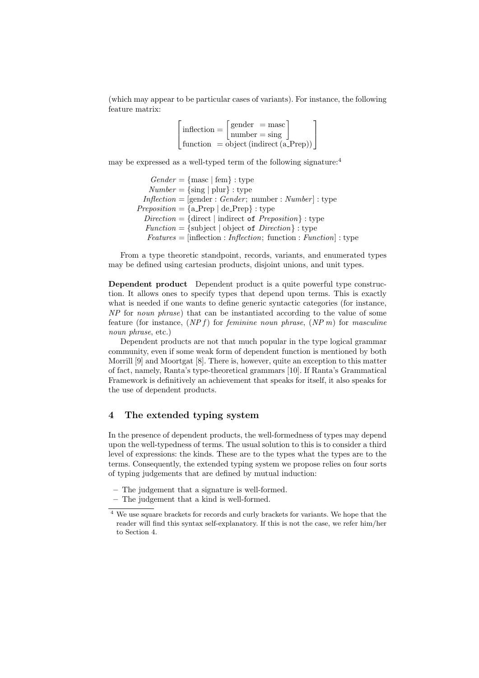(which may appear to be particular cases of variants). For instance, the following feature matrix:

| $\blacksquare$ inflection $=$                      | $\vert$ gender = masc    |
|----------------------------------------------------|--------------------------|
|                                                    | $\lceil$ number $=$ sing |
| function = object (indirect $(a_{\text{.}}Prep)$ ) |                          |

may be expressed as a well-typed term of the following signature:<sup>4</sup>

 $Gender = \{ \text{masc} \mid \text{fem} \} : \text{type}$  $Number = {sing | plur} : type$  $Inflection = [gender : Gender; number : Number] : type$  $Preposition = \{a$ -Prep  $\vert$  de-Prep  $\}$ : type  $Direction = {direct | indirect of *Preposition*} : type$  $Function = {subject | object of *Direction*}: type$  $Features = inflection : Infection; function : Function : type$ 

From a type theoretic standpoint, records, variants, and enumerated types may be defined using cartesian products, disjoint unions, and unit types.

Dependent product Dependent product is a quite powerful type construction. It allows ones to specify types that depend upon terms. This is exactly what is needed if one wants to define generic syntactic categories (for instance, NP for noun phrase) that can be instantiated according to the value of some feature (for instance,  $(NP f)$ ) for *feminine noun phrase*,  $(NP m)$  for masculine noun phrase, etc.)

Dependent products are not that much popular in the type logical grammar community, even if some weak form of dependent function is mentioned by both Morrill [9] and Moortgat [8]. There is, however, quite an exception to this matter of fact, namely, Ranta's type-theoretical grammars [10]. If Ranta's Grammatical Framework is definitively an achievement that speaks for itself, it also speaks for the use of dependent products.

### 4 The extended typing system

In the presence of dependent products, the well-formedness of types may depend upon the well-typedness of terms. The usual solution to this is to consider a third level of expressions: the kinds. These are to the types what the types are to the terms. Consequently, the extended typing system we propose relies on four sorts of typing judgements that are defined by mutual induction:

- The judgement that a signature is well-formed.
- The judgement that a kind is well-formed.

 $\frac{4}{4}$  We use square brackets for records and curly brackets for variants. We hope that the reader will find this syntax self-explanatory. If this is not the case, we refer him/her to Section 4.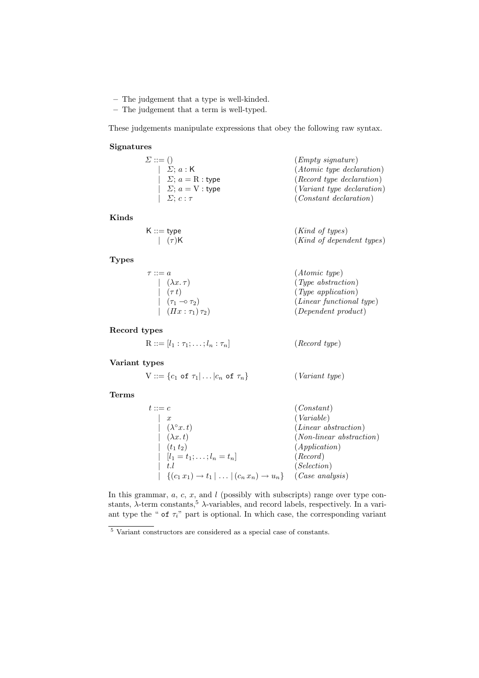- The judgement that a type is well-kinded.
- The judgement that a term is well-typed.

These judgements manipulate expressions that obey the following raw syntax.

#### Signatures

| $\Sigma ::= ()$                            | $(Empty\ signature)$             |
|--------------------------------------------|----------------------------------|
| $\mid \Sigma; a : K$                       | $(Atomic\ type\ declaration)$    |
| $\left  \right $ $\Sigma$ ; $a = R$ : type | $(Record\ type\ declaration)$    |
| $\left  \right  \Sigma$ ; $a = V$ : type   | $(Variant \ type \ declaration)$ |
| $ \sum; c : \tau$                          | $(Constant\ declaration)$        |

### Kinds

| $\mathsf{K} ::= \mathsf{type}$ | $(Kind\ of\ types)$       |
|--------------------------------|---------------------------|
| $\int (\tau)$ K                | (Kind of dependent types) |

### Types

| $\tau ::= a$                    | $(Atomic\ type)$              |
|---------------------------------|-------------------------------|
| $(\lambda x.\tau)$              | $(\textit{Type abstraction})$ |
| $\left( \tau t\right)$          | $(\textit{Type application})$ |
| $(\tau_1 \multimap \tau_2)$     | $(Linear\ functional\ type)$  |
| $\int$ $(\Pi x : \tau_1)\tau_2$ | $(Dependent\ product)$        |

### Record types

 $R ::= [l_1 : \tau_1; \ldots; l_n : \tau_n]$  (*Record type*)

### Variant types

 $V ::= \{c_1 \text{ of } \tau_1 | \dots | c_n \text{ of } \tau_n\}$  (Variant type)

#### Terms

| $t ::= c$                                                                                                                                     | (Constant)                  |
|-----------------------------------------------------------------------------------------------------------------------------------------------|-----------------------------|
| $\boldsymbol{x}$                                                                                                                              | (Variable)                  |
| $(\lambda^\circ x. t)$                                                                                                                        | $(Linear\; abstraction)$    |
| $(\lambda x. t)$                                                                                                                              | $(Non-linear\ abstraction)$ |
| $(t_1 t_2)$                                                                                                                                   | (Application)               |
| $\left  \right  [l_1 = t_1; \ldots; l_n = t_n]$                                                                                               | (Record)                    |
| t.l                                                                                                                                           | (Selectron)                 |
| $\left[ \left[ \left\langle (c_1 x_1) \rightarrow t_1 \right] \dots \left  (c_n x_n) \rightarrow u_n \right. \right] \right]$ (Case analysis) |                             |

In this grammar,  $a, c, x$ , and  $l$  (possibly with subscripts) range over type constants,  $\lambda$ -term constants,  $5\lambda$ -variables, and record labels, respectively. In a variant type the " of  $\tau_i$ " part is optional. In which case, the corresponding variant

 $^5$  Variant constructors are considered as a special case of constants.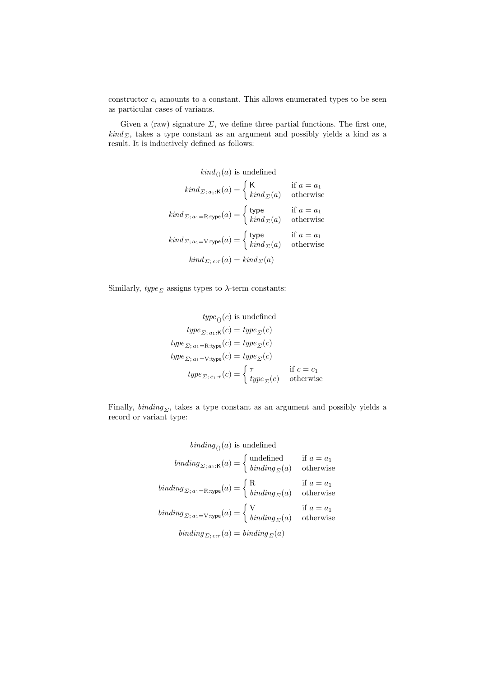constructor  $c_i$  amounts to a constant. This allows enumerated types to be seen as particular cases of variants.

Given a (raw) signature  $\Sigma$ , we define three partial functions. The first one,  $\text{kind}_{\Sigma}$ , takes a type constant as an argument and possibly yields a kind as a result. It is inductively defined as follows:

$$
kind_{()}(a) \text{ is undefined}
$$
\n
$$
kind_{\Sigma; a_1:K}(a) = \begin{cases} K & \text{if } a = a_1 \\ kind_{\Sigma}(a) & \text{otherwise} \end{cases}
$$
\n
$$
kind_{\Sigma; a_1 = R:type}(a) = \begin{cases} type & \text{if } a = a_1 \\ kind_{\Sigma}(a) & \text{otherwise} \end{cases}
$$
\n
$$
kind_{\Sigma; a_1 = V:type}(a) = \begin{cases} type & \text{if } a = a_1 \\ kind_{\Sigma}(a) & \text{otherwise} \end{cases}
$$
\n
$$
kind_{\Sigma; c: \tau}(a) = kind_{\Sigma}(a)
$$

Similarly,  $\mathit{type}_\varSigma$  assigns types to  $\lambda\text{-term constants:}$ 

$$
type_{()}(c) \text{ is undefined}
$$

$$
type_{\Sigma; a_1:K}(c) = type_{\Sigma}(c)
$$

$$
type_{\Sigma; a_1 = \text{R-type}}(c) = type_{\Sigma}(c)
$$

$$
type_{\Sigma; a_1 = \text{V-type}}(c) = type_{\Sigma}(c)
$$

$$
type_{\Sigma; c_1: \tau}(c) = \begin{cases} \tau & \text{if } c = c_1 \\ type_{\Sigma}(c) & \text{otherwise} \end{cases}
$$

Finally,  $binding_{\Sigma}$ , takes a type constant as an argument and possibly yields a record or variant type:

$$
binding_{()}(a) \text{ is undefined}
$$
\n
$$
binding_{\Sigma; a_1:K}(a) = \begin{cases} \text{undefined} & \text{if } a = a_1 \\ \text{binding}_{\Sigma}(a) & \text{otherwise} \end{cases}
$$
\n
$$
binding_{\Sigma; a_1 = \text{R:type}}(a) = \begin{cases} \text{R} & \text{if } a = a_1 \\ \text{binding}_{\Sigma}(a) & \text{otherwise} \end{cases}
$$
\n
$$
binding_{\Sigma; a_1 = \text{V:type}}(a) = \begin{cases} \text{V} & \text{if } a = a_1 \\ \text{binding}_{\Sigma}(a) & \text{otherwise} \end{cases}
$$
\n
$$
binding_{\Sigma; c: \tau}(a) = binding_{\Sigma}(a)
$$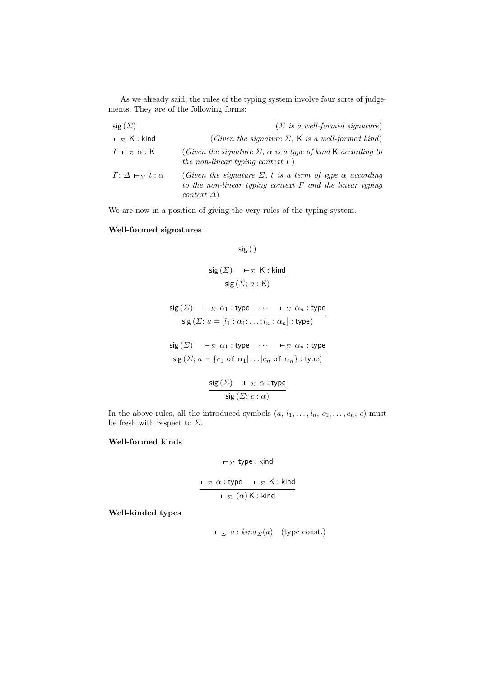As we already said, the rules of the typing system involve four sorts of judgements. They are of the following forms:

| sig $(\Sigma)$                                       | $(\Sigma$ is a well-formed signature)                                                                                                                         |
|------------------------------------------------------|---------------------------------------------------------------------------------------------------------------------------------------------------------------|
| $\mathsf{E}_{\Sigma}$ K : kind                       | (Given the signature $\Sigma$ , K is a well-formed kind)                                                                                                      |
| $\Gamma$ – $\Gamma$ $\alpha$ : K                     | (Given the signature $\Sigma$ , $\alpha$ is a type of kind K according to<br>the non-linear typing context $\Gamma$ )                                         |
| $\Gamma$ ; $\Delta$ $\vdash_{\Sigma}$ $t$ : $\alpha$ | (Given the signature $\Sigma$ , t is a term of type $\alpha$ according<br>to the non-linear typing context $\Gamma$ and the linear typing<br>context $\Delta$ |

We are now in a position of giving the very rules of the typing system.

### Well-formed signatures

$$
\mathsf{sig}\left(\,\right)
$$

$$
\frac{\text{sig}(\Sigma) \quad \vdash_{\Sigma} \mathsf{K} : \text{kind}}{\text{sig}(\Sigma; a : \mathsf{K})}
$$

$$
\frac{\text{sig}(\Sigma) \quad \vdash_{\Sigma} \alpha_1 : \text{type} \quad \cdots \quad \vdash_{\Sigma} \alpha_n : \text{type}}{\text{sig}(\Sigma; a = [l_1 : \alpha_1; \dots; l_n : \alpha_n] : \text{type})}
$$
\n
$$
\frac{\text{sig}(\Sigma) \quad \vdash_{\Sigma} \alpha_1 : \text{type} \quad \cdots \quad \vdash_{\Sigma} \alpha_n : \text{type}}{\text{sig}(\Sigma; a = \{c_1 \text{ of } \alpha_1 | \dots | c_n \text{ of } \alpha_n\} : \text{type})}
$$
\n
$$
\frac{\text{sig}(\Sigma) \quad \vdash_{\Sigma} \alpha : \text{type}}{\text{sig}(\Sigma; c : \alpha)}
$$

In the above rules, all the introduced symbols  $(a, l_1, \ldots, l_n, c_1, \ldots, c_n, c)$  must be fresh with respect to  $\Sigma.$ 

### Well-formed kinds

$$
\vdash_\Sigma \; {\sf type}: {\sf kind}
$$

$$
\frac{\mathsf{I}_{\Sigma} \alpha : \text{type} \quad \mathsf{I}_{\Sigma} \quad \mathsf{K} : \text{kind}}{\mathsf{I}_{\Sigma} \quad (\alpha) \mathsf{K} : \text{kind}}
$$

Well-kinded types

$$
\vdash_{\Sigma} a: kind_{\Sigma}(a) \quad \text{(type const.)}
$$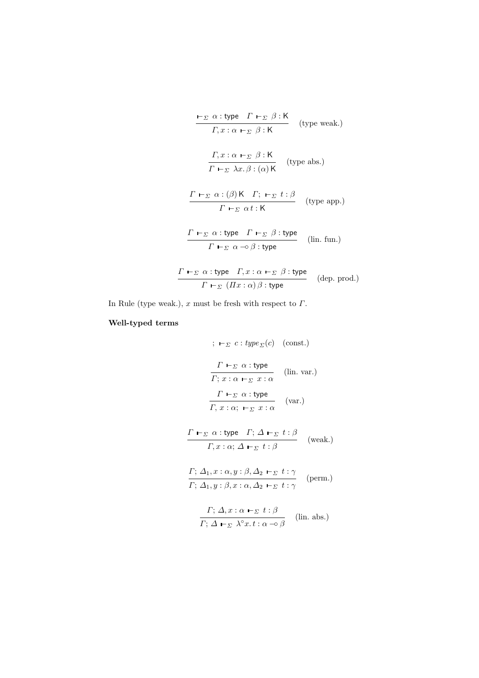$$
\frac{\mathbf{F}_{\Sigma} \alpha : \text{type} \quad \Gamma \mathbf{F}_{\Sigma} \beta : \mathsf{K}}{\Gamma, x : \alpha \mathbf{F}_{\Sigma} \beta : \mathsf{K}} \quad \text{(type weak.)}
$$
\n
$$
\frac{\Gamma, x : \alpha \mathbf{F}_{\Sigma} \beta : \mathsf{K}}{\Gamma \mathbf{F}_{\Sigma} \lambda x. \beta : (\alpha) \mathsf{K}} \quad \text{(type abs.)}
$$
\n
$$
\frac{\Gamma \mathbf{F}_{\Sigma} \alpha : (\beta) \mathsf{K} \quad \Gamma; \ \mathbf{F}_{\Sigma} \ t : \beta}{\Gamma \mathbf{F}_{\Sigma} \alpha : \mathsf{K}} \quad \text{(type app.)}
$$
\n
$$
\frac{\Gamma \mathbf{F}_{\Sigma} \alpha : \text{type} \quad \Gamma \mathbf{F}_{\Sigma} \beta : \text{type}}{\Gamma \mathbf{F}_{\Sigma} \alpha \neg \beta : \text{type}} \quad \text{(lin. fun.)}
$$
\n
$$
\frac{\Gamma \mathbf{F}_{\Sigma} \alpha : \text{type} \quad \Gamma, x : \alpha \mathbf{F}_{\Sigma} \beta : \text{type}}{\Gamma \mathbf{F}_{\Sigma} \ (I\mathcal{I} x : \alpha) \beta : \text{type}} \quad \text{(dep. prod.)}
$$

In Rule (type weak.),  $x$  must be fresh with respect to  $\Gamma$ .

## Well-typed terms

$$
\begin{array}{ll}\n\vdots \ \mathbf{L}_{\Sigma} \ c : type_{\Sigma}(c) \ \text{(const.)} \\
\frac{\Gamma \mathbf{L}_{\Sigma} \alpha : type}{\Gamma; x : \alpha \mathbf{L}_{\Sigma} x : \alpha} \quad \text{(lin. var.)} \\
\frac{\Gamma \mathbf{L}_{\Sigma} \alpha : type}{\Gamma, x : \alpha; \ \mathbf{L}_{\Sigma} x : \alpha} \quad \text{(var.)} \\
\frac{\Gamma \mathbf{L}_{\Sigma} \alpha : type \ \Gamma; \Delta \mathbf{L}_{\Sigma} t : \beta}{\Gamma, x : \alpha; \ \Delta \mathbf{L}_{\Sigma} t : \beta} \quad \text{(weak.)} \\
\frac{\Gamma \mathbf{L}_{\Sigma} \alpha : type \ \Gamma; \Delta \mathbf{L}_{\Sigma} t : \beta}{\Gamma; \ \Delta_{1}, x : \alpha; \ \Delta \mathbf{L}_{\Sigma} t : \beta} \quad \text{(perm.)} \\
\frac{\Gamma; \ \Delta_{1}, x : \alpha, \Delta_{2} \mathbf{L}_{\Sigma} t : \gamma}{\Gamma; \ \Delta_{1}, y : \beta, x : \alpha, \Delta_{2} \mathbf{L}_{\Sigma} t : \gamma} \quad \text{(him. abs.)}\n\end{array}
$$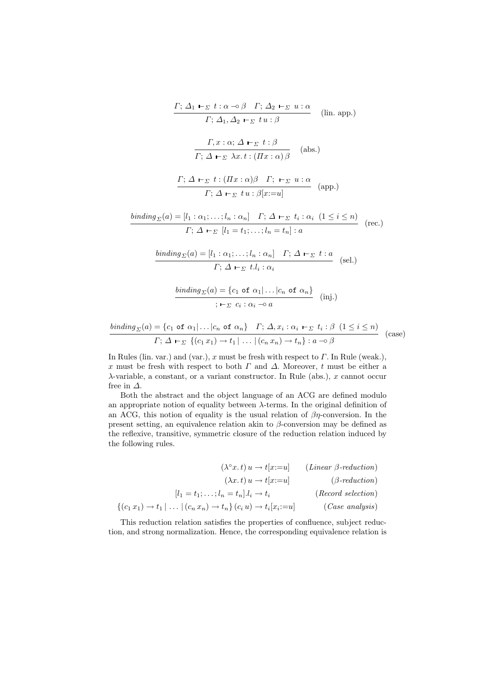$$
\frac{\Gamma; \Delta_1 \vdash_{\Sigma} t : \alpha \multimap \beta \quad \Gamma; \Delta_2 \vdash_{\Sigma} u : \alpha}{\Gamma; \Delta_1, \Delta_2 \vdash_{\Sigma} t u : \beta} \qquad \text{(lin. app.)}
$$
\n
$$
\frac{\Gamma, x : \alpha; \Delta \vdash_{\Sigma} t : \beta}{\Gamma; \Delta \vdash_{\Sigma} \lambda x. t : (\Pi x : \alpha) \beta} \qquad \text{(abs.)}
$$
\n
$$
\frac{\Gamma; \Delta \vdash_{\Sigma} t : (\Pi x : \alpha) \beta \quad \Gamma; \vdash_{\Sigma} u : \alpha}{\Gamma; \Delta \vdash_{\Sigma} t u : \beta[x := u]} \qquad \text{(app.)}
$$
\n
$$
\frac{\text{binding}_{\Sigma}(a) = [l_1 : \alpha_1; \dots; l_n : \alpha_n] \quad \Gamma; \Delta \vdash_{\Sigma} t_i : \alpha_i \quad (1 \le i \le n)}{\Gamma; \Delta \vdash_{\Sigma} [l_1 = t_1; \dots; l_n = t_n] : a} \qquad \text{(rec.)}
$$
\n
$$
\frac{\text{binding}_{\Sigma}(a) = [l_1 : \alpha_1; \dots; l_n : \alpha_n] \quad \Gamma; \Delta \vdash_{\Sigma} t : a}{\Gamma; \Delta \vdash_{\Sigma} t. l_i : \alpha_i} \qquad \text{(sel.)}
$$

$$
\frac{\text{binding}_{\Sigma}(a) = \{c_1 \text{ of } \alpha_1 | \dots | c_n \text{ of } \alpha_n\}}{\sum_{i=1}^n c_i : \alpha_i \to a} \quad \text{(inj.)}
$$

$$
\frac{\text{binding}_{\Sigma}(a) = \{c_1 \text{ of } \alpha_1 | \dots | c_n \text{ of } \alpha_n\} \quad \Gamma; \ \Delta, x_i : \alpha_i \vdash_{\Sigma} t_i : \beta \ (1 \le i \le n)}{\Gamma; \ \Delta \vdash_{\Sigma} \ \{ (c_1 x_1) \rightarrow t_1 | \dots | (c_n x_n) \rightarrow t_n \} : a \rightarrow \beta} \quad \text{(case)}
$$

In Rules (lin. var.) and (var.), x must be fresh with respect to  $\Gamma$ . In Rule (weak.), x must be fresh with respect to both  $\Gamma$  and  $\Delta$ . Moreover, t must be either a  $\lambda$ -variable, a constant, or a variant constructor. In Rule (abs.), x cannot occur free in  $\Delta$ .

Both the abstract and the object language of an ACG are defined modulo an appropriate notion of equality between  $\lambda$ -terms. In the original definition of an ACG, this notion of equality is the usual relation of  $\beta\eta$ -conversion. In the present setting, an equivalence relation akin to  $\beta$ -conversion may be defined as the reflexive, transitive, symmetric closure of the reduction relation induced by the following rules.

$$
(\lambda^{\circ} x. t) u \to t[x:=u]
$$
 (*Linear*  $\beta$ -reduction)  
\n
$$
(\lambda x. t) u \to t[x:=u]
$$
 ( $\beta$ -reduction)  
\n
$$
[l_1 = t_1; \dots; l_n = t_n] . l_i \to t_i
$$
 (*Record selection*)  
\n
$$
\{(c_1 x_1) \to t_1 | \dots | (c_n x_n) \to t_n\} (c_i u) \to t_i[x_i:=u]
$$
 (*Case analysis*)

This reduction relation satisfies the properties of confluence, subject reduction, and strong normalization. Hence, the corresponding equivalence relation is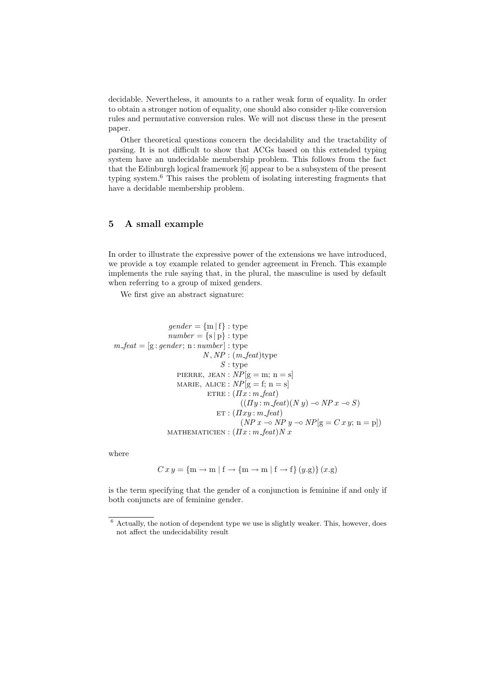decidable. Nevertheless, it amounts to a rather weak form of equality. In order to obtain a stronger notion of equality, one should also consider  $\eta$ -like conversion rules and permutative conversion rules. We will not discuss these in the present paper.

Other theoretical questions concern the decidability and the tractability of parsing. It is not difficult to show that ACGs based on this extended typing system have an undecidable membership problem. This follows from the fact that the Edinburgh logical framework [6] appear to be a subsystem of the present typing system.<sup>6</sup> This raises the problem of isolating interesting fragments that have a decidable membership problem.

### 5 A small example

In order to illustrate the expressive power of the extensions we have introduced, we provide a toy example related to gender agreement in French. This example implements the rule saying that, in the plural, the masculine is used by default when referring to a group of mixed genders.

We first give an abstract signature:

$$
gender = \{m | f\} : type
$$
  
\n
$$
number = \{s | p\} : type
$$
  
\n
$$
m\_feat = [g : gender; n : number] : type
$$
  
\n
$$
N, NP : (m\_feat) \text{type}
$$
  
\n
$$
S : type
$$
  
\n
$$
\text{PIERRE, JEAN} : NP[g = m; n = s]
$$
  
\n
$$
\text{MARIE, ALICE} : NP[g = f; n = s]
$$
  
\n
$$
\text{ETRE} : (Ix : m\_feat)
$$
  
\n
$$
((Iy : m\_feat)(N y) \rightarrow NP x \rightarrow S)
$$
  
\n
$$
\text{ET} : (Itx : m\_feat)
$$
  
\n
$$
(NP x \rightarrow NP y \rightarrow NP[g = C x y; n = p])
$$
  
\n
$$
\text{MATHEMATICIEN} : (Ix : m\_feat) N x
$$

where

$$
Cxy = \{m \to m \mid f \to \{m \to m \mid f \to f\} (y.g) \} (x.g)
$$

is the term specifying that the gender of a conjunction is feminine if and only if both conjuncts are of feminine gender.

 $6$  Actually, the notion of dependent type we use is slightly weaker. This, however, does not affect the undecidability result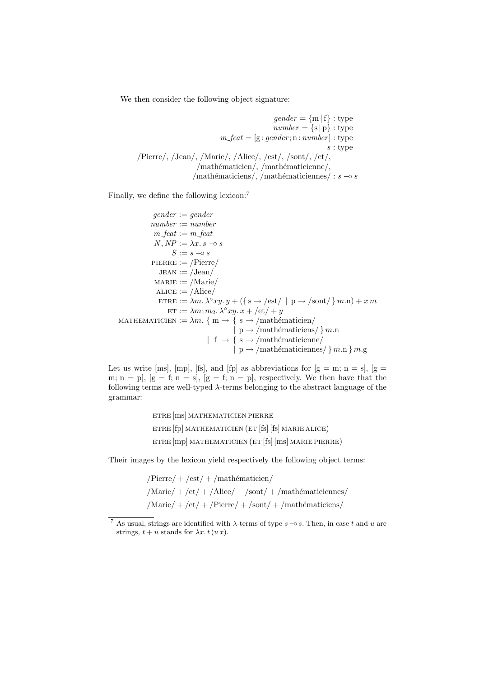We then consider the following object signature:

```
gender = \{m | f\} : typenumber = {s | p} : typem_f = [g : gender; n : number] : types : type
/Pierre/, /Jean/, /Marie/, /Alice/, /est/, /sont/, /et/,
                 /mathématicien/, /mathématicienne/,
                /mathématiciens/, /mathématiciennes/ : s \rightarrow s
```
Finally, we define the following lexicon:<sup>7</sup>

```
gender := gendernumber := numberm-feat := m-feat
              N, NP := \lambda x. s -\circ sS := s - ∘ sPIERRE := /Pierre/JEAN := /Jean/\text{MARIE} := / \text{Marie} /ALICE := /Alice/ETRE := \lambda m. \lambda^{\circ} xy. y + (\{ \text{ s} \rightarrow / \text{est} / \mid \text{ p} \rightarrow / \text{sort} / \} m.n) + x m\text{ET} := \lambda m_1 m_2 \cdot \lambda^\circ xy \cdot x + \text{/et}/+yMATHEMATICIEN := \lambda m. { m \rightarrow { s \rightarrow /mathématicien/
                                                 | p \rightarrow / \text{mathématicians} / \} m.n| f \rightarrow { s \rightarrow /mathématicienne/
                                                 | p \rightarrow / \text{mathematiciennes} / \} m.n \} m.g
```
Let us write [ms], [mp], [fs], and [fp] as abbreviations for  $[g = m; n = s]$ ,  $[g =$ m; n = p],  $[g = f; n = s]$ ,  $[g = f; n = p]$ , respectively. We then have that the following terms are well-typed  $\lambda$ -terms belonging to the abstract language of the grammar:

```
etre [ms] mathematicien pierre
etre [fp] mathematicien (et [fs] [fs] marie alice)
etre [mp] mathematicien (et [fs] [ms] marie pierre)
```
Their images by the lexicon yield respectively the following object terms:

 $Pierre / + /est / + /math$ est/ $/$  $\Delta M$ arie $/ + \sqrt{\text{et}} / + \sqrt{\text{Alice}} / + \sqrt{\text{sont}} / + \sqrt{\text{mathematici}}$ ematiciennes/  $\text{Marie}/ + \text{et}/ + \text{Perre}/ + \text{sont}/ + \text{mathématiciens}/$ 

<sup>&</sup>lt;sup>7</sup> As usual, strings are identified with  $\lambda$ -terms of type  $s \sim s$ . Then, in case t and u are strings,  $t + u$  stands for  $\lambda x. t(u x)$ .